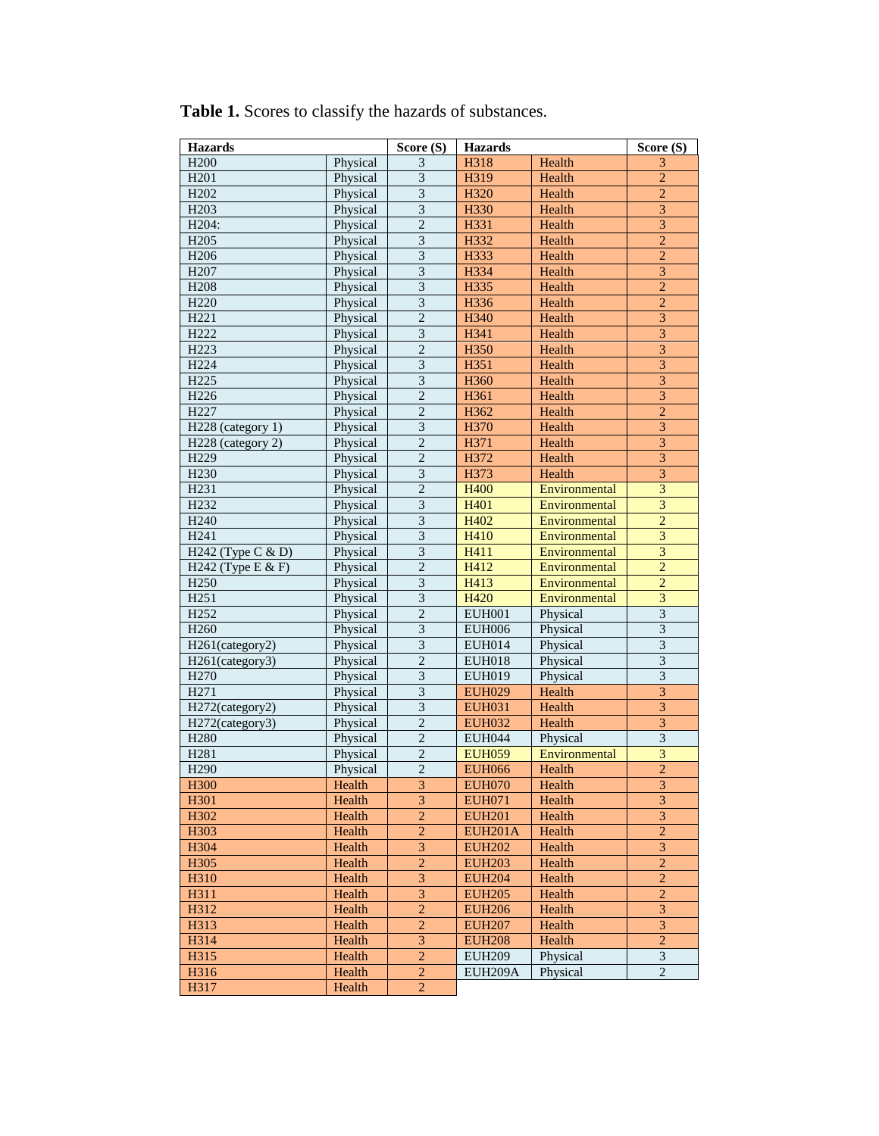| H200<br>Physical<br>3<br>Health<br>H318<br>3<br>$\overline{3}$<br>$\overline{c}$<br>H <sub>201</sub><br>Physical<br>H319<br>Health<br>$\overline{3}$<br>$\overline{2}$<br>H <sub>202</sub><br>Physical<br>H320<br>Health<br>$\overline{3}$<br>$\overline{\mathbf{3}}$<br>H <sub>203</sub><br>Physical<br>H330<br>Health<br>$\overline{c}$<br>$\overline{3}$<br>H <sub>204</sub> :<br>Physical<br>H331<br>Health<br>$\overline{\mathbf{3}}$<br>$\overline{2}$<br>H <sub>205</sub><br>Physical<br>H332<br>Health<br>$\overline{3}$<br>$\overline{c}$<br>Physical<br>H <sub>206</sub><br>H333<br>Health<br>$\overline{3}$<br>$\overline{3}$<br>H <sub>207</sub><br>Physical<br>H334<br>Health<br>3<br>$\overline{c}$<br>H <sub>208</sub><br>Physical<br>H335<br>Health<br>$\overline{\mathbf{3}}$<br>$\overline{2}$<br>H <sub>220</sub><br>Physical<br>H336<br>Health<br>$\overline{\mathbf{3}}$<br>$\overline{c}$<br>H <sub>221</sub><br>H340<br>Physical<br>Health<br>$\overline{\overline{3}}$<br>$\overline{3}$<br>H222<br>Physical<br>H341<br>Health<br>$\overline{2}$<br>$\overline{\mathbf{3}}$<br>H <sub>223</sub><br>Physical<br>H350<br>Health<br>$\overline{\overline{3}}$<br>$\overline{3}$<br>H <sub>224</sub><br>Physical<br>H351<br>Health<br>H <sub>225</sub><br>Physical<br>$\mathfrak{Z}$<br>3<br>H360<br>Health<br>$\overline{3}$<br>$\overline{2}$<br>H <sub>226</sub><br>Physical<br>H361<br>Health<br>$\overline{2}$<br>$\overline{2}$<br>H <sub>227</sub><br>Physical<br>H362<br>Health<br>$\overline{3}$<br>$\overline{3}$<br>H <sub>228</sub> (category 1)<br>Physical<br>H370<br>Health<br>$\overline{2}$<br>$\overline{\mathbf{3}}$<br>H <sub>228</sub> (category 2)<br>Physical<br>H371<br>Health<br>$\overline{3}$<br>$\overline{2}$<br>H <sub>229</sub><br>H372<br>Health<br>Physical<br>$\overline{3}$<br>$\overline{3}$<br>H <sub>230</sub><br>Physical<br>H373<br>Health<br>$\overline{\overline{3}}$<br>$\overline{2}$<br>H <sub>231</sub><br>Physical<br><b>H400</b><br>Environmental<br>$\overline{\overline{3}}$<br>$\overline{3}$<br>H <sub>232</sub><br>H401<br>Physical<br>Environmental<br>$\overline{\mathbf{3}}$<br>$\overline{c}$<br>H <sub>240</sub><br>Physical<br>H402<br>Environmental<br>$\overline{\mathbf{3}}$<br>$\overline{\mathbf{3}}$<br>H <sub>241</sub><br>Physical<br>H410<br>Environmental<br>$\overline{3}$<br>$\overline{\mathbf{3}}$<br>H242 (Type C & D)<br>Physical<br>H411<br>Environmental<br>$\overline{2}$<br>$\overline{2}$<br>H242 (Type E & F)<br>Physical<br>H412<br>Environmental<br>$\mathfrak{Z}$<br>$\overline{c}$<br>H <sub>250</sub><br>Physical<br>H413<br>Environmental |
|------------------------------------------------------------------------------------------------------------------------------------------------------------------------------------------------------------------------------------------------------------------------------------------------------------------------------------------------------------------------------------------------------------------------------------------------------------------------------------------------------------------------------------------------------------------------------------------------------------------------------------------------------------------------------------------------------------------------------------------------------------------------------------------------------------------------------------------------------------------------------------------------------------------------------------------------------------------------------------------------------------------------------------------------------------------------------------------------------------------------------------------------------------------------------------------------------------------------------------------------------------------------------------------------------------------------------------------------------------------------------------------------------------------------------------------------------------------------------------------------------------------------------------------------------------------------------------------------------------------------------------------------------------------------------------------------------------------------------------------------------------------------------------------------------------------------------------------------------------------------------------------------------------------------------------------------------------------------------------------------------------------------------------------------------------------------------------------------------------------------------------------------------------------------------------------------------------------------------------------------------------------------------------------------------------------------------------------------------------------------------------------------------------------------------------------------------------------------------------------------------------------------------------------------------------------------------------------------------------------------------------------------------|
|                                                                                                                                                                                                                                                                                                                                                                                                                                                                                                                                                                                                                                                                                                                                                                                                                                                                                                                                                                                                                                                                                                                                                                                                                                                                                                                                                                                                                                                                                                                                                                                                                                                                                                                                                                                                                                                                                                                                                                                                                                                                                                                                                                                                                                                                                                                                                                                                                                                                                                                                                                                                                                                      |
|                                                                                                                                                                                                                                                                                                                                                                                                                                                                                                                                                                                                                                                                                                                                                                                                                                                                                                                                                                                                                                                                                                                                                                                                                                                                                                                                                                                                                                                                                                                                                                                                                                                                                                                                                                                                                                                                                                                                                                                                                                                                                                                                                                                                                                                                                                                                                                                                                                                                                                                                                                                                                                                      |
|                                                                                                                                                                                                                                                                                                                                                                                                                                                                                                                                                                                                                                                                                                                                                                                                                                                                                                                                                                                                                                                                                                                                                                                                                                                                                                                                                                                                                                                                                                                                                                                                                                                                                                                                                                                                                                                                                                                                                                                                                                                                                                                                                                                                                                                                                                                                                                                                                                                                                                                                                                                                                                                      |
|                                                                                                                                                                                                                                                                                                                                                                                                                                                                                                                                                                                                                                                                                                                                                                                                                                                                                                                                                                                                                                                                                                                                                                                                                                                                                                                                                                                                                                                                                                                                                                                                                                                                                                                                                                                                                                                                                                                                                                                                                                                                                                                                                                                                                                                                                                                                                                                                                                                                                                                                                                                                                                                      |
|                                                                                                                                                                                                                                                                                                                                                                                                                                                                                                                                                                                                                                                                                                                                                                                                                                                                                                                                                                                                                                                                                                                                                                                                                                                                                                                                                                                                                                                                                                                                                                                                                                                                                                                                                                                                                                                                                                                                                                                                                                                                                                                                                                                                                                                                                                                                                                                                                                                                                                                                                                                                                                                      |
|                                                                                                                                                                                                                                                                                                                                                                                                                                                                                                                                                                                                                                                                                                                                                                                                                                                                                                                                                                                                                                                                                                                                                                                                                                                                                                                                                                                                                                                                                                                                                                                                                                                                                                                                                                                                                                                                                                                                                                                                                                                                                                                                                                                                                                                                                                                                                                                                                                                                                                                                                                                                                                                      |
|                                                                                                                                                                                                                                                                                                                                                                                                                                                                                                                                                                                                                                                                                                                                                                                                                                                                                                                                                                                                                                                                                                                                                                                                                                                                                                                                                                                                                                                                                                                                                                                                                                                                                                                                                                                                                                                                                                                                                                                                                                                                                                                                                                                                                                                                                                                                                                                                                                                                                                                                                                                                                                                      |
|                                                                                                                                                                                                                                                                                                                                                                                                                                                                                                                                                                                                                                                                                                                                                                                                                                                                                                                                                                                                                                                                                                                                                                                                                                                                                                                                                                                                                                                                                                                                                                                                                                                                                                                                                                                                                                                                                                                                                                                                                                                                                                                                                                                                                                                                                                                                                                                                                                                                                                                                                                                                                                                      |
|                                                                                                                                                                                                                                                                                                                                                                                                                                                                                                                                                                                                                                                                                                                                                                                                                                                                                                                                                                                                                                                                                                                                                                                                                                                                                                                                                                                                                                                                                                                                                                                                                                                                                                                                                                                                                                                                                                                                                                                                                                                                                                                                                                                                                                                                                                                                                                                                                                                                                                                                                                                                                                                      |
|                                                                                                                                                                                                                                                                                                                                                                                                                                                                                                                                                                                                                                                                                                                                                                                                                                                                                                                                                                                                                                                                                                                                                                                                                                                                                                                                                                                                                                                                                                                                                                                                                                                                                                                                                                                                                                                                                                                                                                                                                                                                                                                                                                                                                                                                                                                                                                                                                                                                                                                                                                                                                                                      |
|                                                                                                                                                                                                                                                                                                                                                                                                                                                                                                                                                                                                                                                                                                                                                                                                                                                                                                                                                                                                                                                                                                                                                                                                                                                                                                                                                                                                                                                                                                                                                                                                                                                                                                                                                                                                                                                                                                                                                                                                                                                                                                                                                                                                                                                                                                                                                                                                                                                                                                                                                                                                                                                      |
|                                                                                                                                                                                                                                                                                                                                                                                                                                                                                                                                                                                                                                                                                                                                                                                                                                                                                                                                                                                                                                                                                                                                                                                                                                                                                                                                                                                                                                                                                                                                                                                                                                                                                                                                                                                                                                                                                                                                                                                                                                                                                                                                                                                                                                                                                                                                                                                                                                                                                                                                                                                                                                                      |
|                                                                                                                                                                                                                                                                                                                                                                                                                                                                                                                                                                                                                                                                                                                                                                                                                                                                                                                                                                                                                                                                                                                                                                                                                                                                                                                                                                                                                                                                                                                                                                                                                                                                                                                                                                                                                                                                                                                                                                                                                                                                                                                                                                                                                                                                                                                                                                                                                                                                                                                                                                                                                                                      |
|                                                                                                                                                                                                                                                                                                                                                                                                                                                                                                                                                                                                                                                                                                                                                                                                                                                                                                                                                                                                                                                                                                                                                                                                                                                                                                                                                                                                                                                                                                                                                                                                                                                                                                                                                                                                                                                                                                                                                                                                                                                                                                                                                                                                                                                                                                                                                                                                                                                                                                                                                                                                                                                      |
|                                                                                                                                                                                                                                                                                                                                                                                                                                                                                                                                                                                                                                                                                                                                                                                                                                                                                                                                                                                                                                                                                                                                                                                                                                                                                                                                                                                                                                                                                                                                                                                                                                                                                                                                                                                                                                                                                                                                                                                                                                                                                                                                                                                                                                                                                                                                                                                                                                                                                                                                                                                                                                                      |
|                                                                                                                                                                                                                                                                                                                                                                                                                                                                                                                                                                                                                                                                                                                                                                                                                                                                                                                                                                                                                                                                                                                                                                                                                                                                                                                                                                                                                                                                                                                                                                                                                                                                                                                                                                                                                                                                                                                                                                                                                                                                                                                                                                                                                                                                                                                                                                                                                                                                                                                                                                                                                                                      |
|                                                                                                                                                                                                                                                                                                                                                                                                                                                                                                                                                                                                                                                                                                                                                                                                                                                                                                                                                                                                                                                                                                                                                                                                                                                                                                                                                                                                                                                                                                                                                                                                                                                                                                                                                                                                                                                                                                                                                                                                                                                                                                                                                                                                                                                                                                                                                                                                                                                                                                                                                                                                                                                      |
|                                                                                                                                                                                                                                                                                                                                                                                                                                                                                                                                                                                                                                                                                                                                                                                                                                                                                                                                                                                                                                                                                                                                                                                                                                                                                                                                                                                                                                                                                                                                                                                                                                                                                                                                                                                                                                                                                                                                                                                                                                                                                                                                                                                                                                                                                                                                                                                                                                                                                                                                                                                                                                                      |
|                                                                                                                                                                                                                                                                                                                                                                                                                                                                                                                                                                                                                                                                                                                                                                                                                                                                                                                                                                                                                                                                                                                                                                                                                                                                                                                                                                                                                                                                                                                                                                                                                                                                                                                                                                                                                                                                                                                                                                                                                                                                                                                                                                                                                                                                                                                                                                                                                                                                                                                                                                                                                                                      |
|                                                                                                                                                                                                                                                                                                                                                                                                                                                                                                                                                                                                                                                                                                                                                                                                                                                                                                                                                                                                                                                                                                                                                                                                                                                                                                                                                                                                                                                                                                                                                                                                                                                                                                                                                                                                                                                                                                                                                                                                                                                                                                                                                                                                                                                                                                                                                                                                                                                                                                                                                                                                                                                      |
|                                                                                                                                                                                                                                                                                                                                                                                                                                                                                                                                                                                                                                                                                                                                                                                                                                                                                                                                                                                                                                                                                                                                                                                                                                                                                                                                                                                                                                                                                                                                                                                                                                                                                                                                                                                                                                                                                                                                                                                                                                                                                                                                                                                                                                                                                                                                                                                                                                                                                                                                                                                                                                                      |
|                                                                                                                                                                                                                                                                                                                                                                                                                                                                                                                                                                                                                                                                                                                                                                                                                                                                                                                                                                                                                                                                                                                                                                                                                                                                                                                                                                                                                                                                                                                                                                                                                                                                                                                                                                                                                                                                                                                                                                                                                                                                                                                                                                                                                                                                                                                                                                                                                                                                                                                                                                                                                                                      |
|                                                                                                                                                                                                                                                                                                                                                                                                                                                                                                                                                                                                                                                                                                                                                                                                                                                                                                                                                                                                                                                                                                                                                                                                                                                                                                                                                                                                                                                                                                                                                                                                                                                                                                                                                                                                                                                                                                                                                                                                                                                                                                                                                                                                                                                                                                                                                                                                                                                                                                                                                                                                                                                      |
|                                                                                                                                                                                                                                                                                                                                                                                                                                                                                                                                                                                                                                                                                                                                                                                                                                                                                                                                                                                                                                                                                                                                                                                                                                                                                                                                                                                                                                                                                                                                                                                                                                                                                                                                                                                                                                                                                                                                                                                                                                                                                                                                                                                                                                                                                                                                                                                                                                                                                                                                                                                                                                                      |
|                                                                                                                                                                                                                                                                                                                                                                                                                                                                                                                                                                                                                                                                                                                                                                                                                                                                                                                                                                                                                                                                                                                                                                                                                                                                                                                                                                                                                                                                                                                                                                                                                                                                                                                                                                                                                                                                                                                                                                                                                                                                                                                                                                                                                                                                                                                                                                                                                                                                                                                                                                                                                                                      |
|                                                                                                                                                                                                                                                                                                                                                                                                                                                                                                                                                                                                                                                                                                                                                                                                                                                                                                                                                                                                                                                                                                                                                                                                                                                                                                                                                                                                                                                                                                                                                                                                                                                                                                                                                                                                                                                                                                                                                                                                                                                                                                                                                                                                                                                                                                                                                                                                                                                                                                                                                                                                                                                      |
|                                                                                                                                                                                                                                                                                                                                                                                                                                                                                                                                                                                                                                                                                                                                                                                                                                                                                                                                                                                                                                                                                                                                                                                                                                                                                                                                                                                                                                                                                                                                                                                                                                                                                                                                                                                                                                                                                                                                                                                                                                                                                                                                                                                                                                                                                                                                                                                                                                                                                                                                                                                                                                                      |
|                                                                                                                                                                                                                                                                                                                                                                                                                                                                                                                                                                                                                                                                                                                                                                                                                                                                                                                                                                                                                                                                                                                                                                                                                                                                                                                                                                                                                                                                                                                                                                                                                                                                                                                                                                                                                                                                                                                                                                                                                                                                                                                                                                                                                                                                                                                                                                                                                                                                                                                                                                                                                                                      |
| $\overline{3}$<br>$\overline{3}$<br>H <sub>251</sub><br>Physical<br>H420<br>Environmental                                                                                                                                                                                                                                                                                                                                                                                                                                                                                                                                                                                                                                                                                                                                                                                                                                                                                                                                                                                                                                                                                                                                                                                                                                                                                                                                                                                                                                                                                                                                                                                                                                                                                                                                                                                                                                                                                                                                                                                                                                                                                                                                                                                                                                                                                                                                                                                                                                                                                                                                                            |
| H <sub>252</sub><br>$\overline{c}$<br>$\overline{3}$<br>Physical<br><b>EUH001</b><br>Physical                                                                                                                                                                                                                                                                                                                                                                                                                                                                                                                                                                                                                                                                                                                                                                                                                                                                                                                                                                                                                                                                                                                                                                                                                                                                                                                                                                                                                                                                                                                                                                                                                                                                                                                                                                                                                                                                                                                                                                                                                                                                                                                                                                                                                                                                                                                                                                                                                                                                                                                                                        |
| $\overline{3}$<br>$\overline{3}$<br>H <sub>260</sub><br><b>EUH006</b><br>Physical<br>Physical                                                                                                                                                                                                                                                                                                                                                                                                                                                                                                                                                                                                                                                                                                                                                                                                                                                                                                                                                                                                                                                                                                                                                                                                                                                                                                                                                                                                                                                                                                                                                                                                                                                                                                                                                                                                                                                                                                                                                                                                                                                                                                                                                                                                                                                                                                                                                                                                                                                                                                                                                        |
| $\overline{3}$<br>$\overline{\mathbf{3}}$<br>H261(category2)<br>Physical<br><b>EUH014</b><br>Physical                                                                                                                                                                                                                                                                                                                                                                                                                                                                                                                                                                                                                                                                                                                                                                                                                                                                                                                                                                                                                                                                                                                                                                                                                                                                                                                                                                                                                                                                                                                                                                                                                                                                                                                                                                                                                                                                                                                                                                                                                                                                                                                                                                                                                                                                                                                                                                                                                                                                                                                                                |
| $\overline{2}$<br>$\overline{3}$<br>H <sub>261</sub> (category3)<br>Physical<br><b>EUH018</b><br>Physical                                                                                                                                                                                                                                                                                                                                                                                                                                                                                                                                                                                                                                                                                                                                                                                                                                                                                                                                                                                                                                                                                                                                                                                                                                                                                                                                                                                                                                                                                                                                                                                                                                                                                                                                                                                                                                                                                                                                                                                                                                                                                                                                                                                                                                                                                                                                                                                                                                                                                                                                            |
| $\overline{3}$<br>$\overline{\mathbf{3}}$<br>H <sub>270</sub><br>Physical<br><b>EUH019</b><br>Physical                                                                                                                                                                                                                                                                                                                                                                                                                                                                                                                                                                                                                                                                                                                                                                                                                                                                                                                                                                                                                                                                                                                                                                                                                                                                                                                                                                                                                                                                                                                                                                                                                                                                                                                                                                                                                                                                                                                                                                                                                                                                                                                                                                                                                                                                                                                                                                                                                                                                                                                                               |
| $\overline{3}$<br>$\overline{3}$<br>H <sub>271</sub><br>Physical<br><b>EUH029</b><br>Health                                                                                                                                                                                                                                                                                                                                                                                                                                                                                                                                                                                                                                                                                                                                                                                                                                                                                                                                                                                                                                                                                                                                                                                                                                                                                                                                                                                                                                                                                                                                                                                                                                                                                                                                                                                                                                                                                                                                                                                                                                                                                                                                                                                                                                                                                                                                                                                                                                                                                                                                                          |
| Physical<br>$\mathfrak{Z}$<br>3<br>H272(category2)<br><b>EUH031</b><br>Health                                                                                                                                                                                                                                                                                                                                                                                                                                                                                                                                                                                                                                                                                                                                                                                                                                                                                                                                                                                                                                                                                                                                                                                                                                                                                                                                                                                                                                                                                                                                                                                                                                                                                                                                                                                                                                                                                                                                                                                                                                                                                                                                                                                                                                                                                                                                                                                                                                                                                                                                                                        |
| $\overline{2}$<br>Health<br>H272(category3)<br>Physical<br><b>EUH032</b>                                                                                                                                                                                                                                                                                                                                                                                                                                                                                                                                                                                                                                                                                                                                                                                                                                                                                                                                                                                                                                                                                                                                                                                                                                                                                                                                                                                                                                                                                                                                                                                                                                                                                                                                                                                                                                                                                                                                                                                                                                                                                                                                                                                                                                                                                                                                                                                                                                                                                                                                                                             |
| $\frac{3}{3}$<br>$\overline{2}$<br>H <sub>280</sub><br>Physical<br>Physical<br><b>EUH044</b>                                                                                                                                                                                                                                                                                                                                                                                                                                                                                                                                                                                                                                                                                                                                                                                                                                                                                                                                                                                                                                                                                                                                                                                                                                                                                                                                                                                                                                                                                                                                                                                                                                                                                                                                                                                                                                                                                                                                                                                                                                                                                                                                                                                                                                                                                                                                                                                                                                                                                                                                                         |
| $\overline{2}$<br>$\overline{\mathbf{3}}$<br>H <sub>281</sub><br>Physical<br>Environmental<br><b>EUH059</b>                                                                                                                                                                                                                                                                                                                                                                                                                                                                                                                                                                                                                                                                                                                                                                                                                                                                                                                                                                                                                                                                                                                                                                                                                                                                                                                                                                                                                                                                                                                                                                                                                                                                                                                                                                                                                                                                                                                                                                                                                                                                                                                                                                                                                                                                                                                                                                                                                                                                                                                                          |
| $\overline{2}$<br>$\overline{2}$<br>H <sub>290</sub><br>Physical<br><b>EUH066</b><br>Health                                                                                                                                                                                                                                                                                                                                                                                                                                                                                                                                                                                                                                                                                                                                                                                                                                                                                                                                                                                                                                                                                                                                                                                                                                                                                                                                                                                                                                                                                                                                                                                                                                                                                                                                                                                                                                                                                                                                                                                                                                                                                                                                                                                                                                                                                                                                                                                                                                                                                                                                                          |
| H <sub>300</sub><br>Health<br>3<br><b>EUH070</b><br>Health<br>3                                                                                                                                                                                                                                                                                                                                                                                                                                                                                                                                                                                                                                                                                                                                                                                                                                                                                                                                                                                                                                                                                                                                                                                                                                                                                                                                                                                                                                                                                                                                                                                                                                                                                                                                                                                                                                                                                                                                                                                                                                                                                                                                                                                                                                                                                                                                                                                                                                                                                                                                                                                      |
| $\overline{3}$<br>$\overline{\mathbf{3}}$<br>H301<br>Health<br><b>EUH071</b><br>Health                                                                                                                                                                                                                                                                                                                                                                                                                                                                                                                                                                                                                                                                                                                                                                                                                                                                                                                                                                                                                                                                                                                                                                                                                                                                                                                                                                                                                                                                                                                                                                                                                                                                                                                                                                                                                                                                                                                                                                                                                                                                                                                                                                                                                                                                                                                                                                                                                                                                                                                                                               |
| $\overline{3}$<br>$\overline{2}$<br>H302<br>Health<br><b>EUH201</b><br>Health                                                                                                                                                                                                                                                                                                                                                                                                                                                                                                                                                                                                                                                                                                                                                                                                                                                                                                                                                                                                                                                                                                                                                                                                                                                                                                                                                                                                                                                                                                                                                                                                                                                                                                                                                                                                                                                                                                                                                                                                                                                                                                                                                                                                                                                                                                                                                                                                                                                                                                                                                                        |
| $\overline{2}$<br>$\overline{2}$<br>H303<br>Health<br><b>EUH201A</b><br>Health                                                                                                                                                                                                                                                                                                                                                                                                                                                                                                                                                                                                                                                                                                                                                                                                                                                                                                                                                                                                                                                                                                                                                                                                                                                                                                                                                                                                                                                                                                                                                                                                                                                                                                                                                                                                                                                                                                                                                                                                                                                                                                                                                                                                                                                                                                                                                                                                                                                                                                                                                                       |
| 3<br>3<br>H304<br>Health<br><b>EUH202</b><br>Health                                                                                                                                                                                                                                                                                                                                                                                                                                                                                                                                                                                                                                                                                                                                                                                                                                                                                                                                                                                                                                                                                                                                                                                                                                                                                                                                                                                                                                                                                                                                                                                                                                                                                                                                                                                                                                                                                                                                                                                                                                                                                                                                                                                                                                                                                                                                                                                                                                                                                                                                                                                                  |
| $\overline{c}$<br>$\overline{c}$<br>H305<br>Health<br><b>EUH203</b><br>Health                                                                                                                                                                                                                                                                                                                                                                                                                                                                                                                                                                                                                                                                                                                                                                                                                                                                                                                                                                                                                                                                                                                                                                                                                                                                                                                                                                                                                                                                                                                                                                                                                                                                                                                                                                                                                                                                                                                                                                                                                                                                                                                                                                                                                                                                                                                                                                                                                                                                                                                                                                        |
| $\overline{3}$<br>$\overline{2}$<br>H310<br>Health<br><b>EUH204</b><br>Health                                                                                                                                                                                                                                                                                                                                                                                                                                                                                                                                                                                                                                                                                                                                                                                                                                                                                                                                                                                                                                                                                                                                                                                                                                                                                                                                                                                                                                                                                                                                                                                                                                                                                                                                                                                                                                                                                                                                                                                                                                                                                                                                                                                                                                                                                                                                                                                                                                                                                                                                                                        |
| $\overline{3}$<br>$\overline{2}$<br>H311<br>Health<br><b>EUH205</b><br>Health                                                                                                                                                                                                                                                                                                                                                                                                                                                                                                                                                                                                                                                                                                                                                                                                                                                                                                                                                                                                                                                                                                                                                                                                                                                                                                                                                                                                                                                                                                                                                                                                                                                                                                                                                                                                                                                                                                                                                                                                                                                                                                                                                                                                                                                                                                                                                                                                                                                                                                                                                                        |
| $\overline{c}$<br>3<br>H312<br>Health<br>Health<br><b>EUH206</b>                                                                                                                                                                                                                                                                                                                                                                                                                                                                                                                                                                                                                                                                                                                                                                                                                                                                                                                                                                                                                                                                                                                                                                                                                                                                                                                                                                                                                                                                                                                                                                                                                                                                                                                                                                                                                                                                                                                                                                                                                                                                                                                                                                                                                                                                                                                                                                                                                                                                                                                                                                                     |
| $\overline{3}$<br>$\overline{2}$<br>H313<br>Health<br>Health<br><b>EUH207</b>                                                                                                                                                                                                                                                                                                                                                                                                                                                                                                                                                                                                                                                                                                                                                                                                                                                                                                                                                                                                                                                                                                                                                                                                                                                                                                                                                                                                                                                                                                                                                                                                                                                                                                                                                                                                                                                                                                                                                                                                                                                                                                                                                                                                                                                                                                                                                                                                                                                                                                                                                                        |
| $\overline{3}$<br><b>EUH208</b><br>$\overline{c}$<br>H314<br>Health<br>Health                                                                                                                                                                                                                                                                                                                                                                                                                                                                                                                                                                                                                                                                                                                                                                                                                                                                                                                                                                                                                                                                                                                                                                                                                                                                                                                                                                                                                                                                                                                                                                                                                                                                                                                                                                                                                                                                                                                                                                                                                                                                                                                                                                                                                                                                                                                                                                                                                                                                                                                                                                        |
| $\overline{c}$<br>3<br>Health<br>Physical<br>H315<br><b>EUH209</b>                                                                                                                                                                                                                                                                                                                                                                                                                                                                                                                                                                                                                                                                                                                                                                                                                                                                                                                                                                                                                                                                                                                                                                                                                                                                                                                                                                                                                                                                                                                                                                                                                                                                                                                                                                                                                                                                                                                                                                                                                                                                                                                                                                                                                                                                                                                                                                                                                                                                                                                                                                                   |
| $\overline{c}$<br>$\overline{2}$<br>H316<br>Health<br>EUH209A<br>Physical                                                                                                                                                                                                                                                                                                                                                                                                                                                                                                                                                                                                                                                                                                                                                                                                                                                                                                                                                                                                                                                                                                                                                                                                                                                                                                                                                                                                                                                                                                                                                                                                                                                                                                                                                                                                                                                                                                                                                                                                                                                                                                                                                                                                                                                                                                                                                                                                                                                                                                                                                                            |
| Health<br>$\overline{c}$<br>H317                                                                                                                                                                                                                                                                                                                                                                                                                                                                                                                                                                                                                                                                                                                                                                                                                                                                                                                                                                                                                                                                                                                                                                                                                                                                                                                                                                                                                                                                                                                                                                                                                                                                                                                                                                                                                                                                                                                                                                                                                                                                                                                                                                                                                                                                                                                                                                                                                                                                                                                                                                                                                     |

**Table 1.** Scores to classify the hazards of substances.